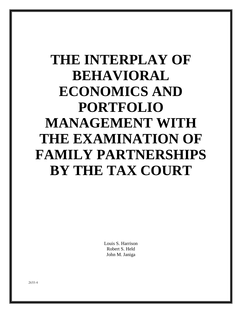# **THE INTERPLAY OF BEHAVIORAL ECONOMICS AND PORTFOLIO MANAGEMENT WITH THE EXAMINATION OF FAMILY PARTNERSHIPS BY THE TAX COURT**

Louis S. Harrison Robert S. Held John M. Janiga

2655-4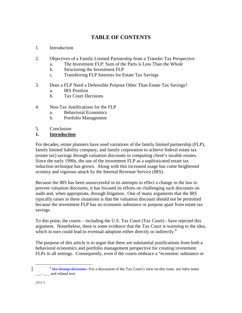# **TABLE OF CONTENTS**

- 1. Introduction
- 2. Objectives of a Family Limited Partnership from a Transfer Tax Perspective
	- a. The Investment FLP: Sum of the Parts is Less Than the Whole
	- b. Structuring the Investment FLP
	- c. Transferring FLP Interests for Estate Tax Savings
- 3. Does a FLP Need a Defensible Purpose Other Than Estate Tax Savings?
	- a. IRS Position
	- b. Tax Court Decisions
- 4. Non-Tax Justifications for the FLP
	- a. Behavioral Economics
	- b. Portfolio Management
- 5. Conclusion
- **1. Introduction**

For decades, estate planners have used variations of the family limited partnership (FLP), family limited liability company, and family corporation to achieve federal estate tax (estate tax) savings through valuation discounts in computing client's taxable estates. Since the early 1990s, the use of the investment FLP as a sophisticated estate tax reduction technique has grown. Along with this increased usage has come heightened scrutiny and vigorous attack by the Internal Revenue Service (IRS).

Because the IRS has been unsuccessful in its attempts to effect a change in the law to prevent valuation discounts, it has focused its efforts on challenging such discounts on audit and, when appropriate, through litigation. One of many arguments that the IRS typically raises in these situations is that the valuation discount should not be permitted because the investment FLP has no economic substance or purpose apart from estate tax savings.

To this point, the courts – including the U.S. Tax Court (Tax Court) - have rejected this argument. Nonetheless, there is some evidence that the Tax Court is warming to the idea, which in turn could lead to eventual adoption either directly or indirectly.**[1](#page-1-0)**

The purpose of this article is to argue that there are substantial justifications from both a behavioral economics and portfolio management perspective for creating investment FLPs in all settings. Consequently, even if the courts embrace a "economic substance or

<span id="page-1-0"></span>**<sup>1</sup>** See *Strangi* decisions. For a discussion of the Tax Court's view on this issue, see *infra* notes \_\_\_- \_\_\_ and related text.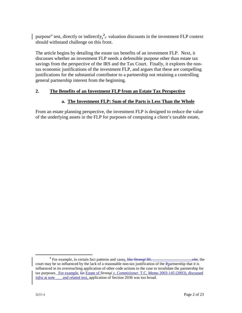purpose" test, directly or indirectly,  $2\frac{2}{l}$  $2\frac{2}{l}$ , valuation discounts in the investment FLP context should withstand challenge on this front.

The article begins by detailing the estate tax benefits of an investment FLP. Next, it discusses whether an investment FLP needs a defensible purpose other than estate tax savings from the perspective of the IRS and the Tax Court. Finally, it explores the nontax economic justifications of the investment FLP, and argues that these are compelling justifications for the substantial contributor to a partnership not retaining a controlling general partnership interest from the beginning.

# **2. The Benefits of an Investment FLP from an Estate Tax Perspective**

# **a. The Investment FLP: Sum of the Parts is Less Than the Whole**

From an estate planning perspective, the investment FLP is designed to reduce the value of the underlying assets in the FLP for purposes of computing a client's taxable estate,

<span id="page-2-0"></span><sup>&</sup>lt;sup>2</sup> For example, in certain fact patterns and cases, like *Strangi* III, <u>contained the cite</u>, the court may be so influenced by the lack of a reasonable non-tax justification of the Ppartnership that it is influenced in its overreaching application of other code actions to the case to invalidate the partnership for tax purposes. For example, Iin Estate of *Strangi v. Commisioner*, T.C. Memo 2003-145 (2003), discussed *infra* at note \_\_\_ and related text, application of Section 2036 was too broad.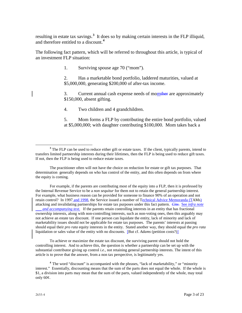resulting in estate tax savings.**[3](#page-3-0)** It does so by making certain interests in the FLP illiquid, and therefore entitled to a discount.**[4](#page-3-1)**

The following fact pattern, which will be referred to throughout this article, is typical of an investment FLP situation:

1. Surviving spouse age 70 ("mom").

2. Has a marketable bond portfolio, laddered maturities, valued at \$5,000,000, generating \$200,000 of after-tax income.

3. Current annual cash expense needs of momther are approximately \$150,000, absent gifting.

4. Two children and 4 grandchildren.

5. Mom forms a FLP by contributing the entire bond portfolio, valued at \$5,000,000; with daughter contributing \$100,000. Mom takes back a

For example, if the parents are contributing most of the equity into a FLP, then it is professed by the Internal Revenue Service to be a *non sequitur* for them not to retain the general partnership interest. For example, what business reason can be provided for someone to finance 90% of an operation and not retain control? In 1997 and 1998, the Service issued a number of Technical Advice Memoranda (TAMs) attacking and invalidating partnerships for estate tax purposes under this fact pattern. *Cite*. See *infra note and accompanying text.* If the parents retain controlling interests in an entity that has fractional ownership interests, along with non-controlling interests, such as non-voting ones, then this arguably may not achieve an estate tax discount. If one person can liquidate the entity, lack of minority and lack of marketability issues should not be applicable for estate tax purposes. The parents' interests at passing should equal their *pro rata* equity interests in the entity. Stated another way, they should equal the *pro rata* liquidation or sales value of the entity with no discounts. [But cf. *Adams* (petition costs?)]

To achieve or maximize the estate tax discount, the surviving parent should not hold the controlling interest. And to achieve this, the question is whether a partnership can be set up with the substantial contributor giving up control *i.e.*, not retaining general partnership interests. The intent of this article is to prove that the answer, from a non tax perspective, is legitimately yes.

<span id="page-3-0"></span><sup>&</sup>lt;sup>3</sup> The FLP can be used to reduce either gift or estate taxes. If the client, typically parents, intend to transfers limited partnership interests during their lifetimes, then the FLP is being used to reduce gift taxes. If not, then the FLP is being used to reduce estate taxes.

The practitioner often will not have the choice on reduction for estate or gift tax purposes. That determination generally depends on who has control of the entity, and this often depends on from where the equity is coming.

<span id="page-3-1"></span>**<sup>4</sup>**The word "discount" is accompanied with the phrases, "lack of marketability," or "minority interest." Essentially, discounting means that the sum of the parts does not equal the whole. If the whole is \$1, a division into parts may mean that the sum of the parts, valued independently of the whole, may total only 60¢.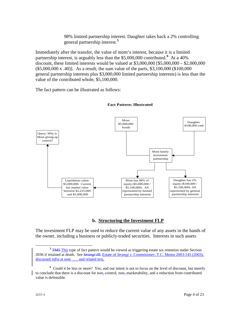98% limited partnership interest. Daughter takes back a 2% controlling general partnership interest.**[5](#page-4-0)**

Immediately after the transfer, the value of mom's interest, because it is a limited partnership interest, is arguably less than the \$5,000,000 contributed.**[6](#page-4-1)** At a 40% discount, these limited interests would be valued at \$3,000,000 [\$5,000,000 – \$2,000,000 (\$5,000,000 x .40)]. As a result, the sum value of the parts, \$3,100,000 (\$100,000 general partnership interests plus \$3,000,000 limited partnership interests) is less than the value of the contributed whole, \$5,100,000.

The fact pattern can be illustrated as follows:



#### **Fact Pattern: Illustrated**

# **b. Structuring the Investment FLP**

The investment FLP may be used to reduce the current value of any assets in the hands of the owner, including a business or publicly-traded securities. Interests in such assets

<span id="page-4-0"></span><sup>&</sup>lt;sup>5</sup> TMS This type of fact pattern would be viewed as triggering estate tax retention under Section 2036 if retained at death. See *Strangi III*. Estate of *Strangi v. Commisioner*, T.C. Memo 2003-145 (2003), discussed *infra* at note \_\_\_ and related text,

<span id="page-4-1"></span><sup>&</sup>lt;sup>6</sup> Could it be less or more? Yes; and our intent is not to focus on the level of discount, but merely to conclude that there is a discount for non- control, non- marketability, and a reduction from contributed value is defensible.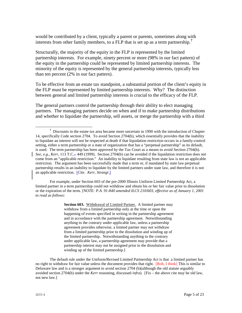would be contributed by a client, typically a parent or parents, sometimes along with interests from other family members, to a FLP that is set up as a term partnership.**[7](#page-5-0)**

Structurally, the majority of the equity in the FLP is represented by the limited partnership interests. For example, ninety percent or more (98% in our fact pattern) of the equity in the partnership could be represented by limited partnership interests. The minority of the equity is represented by the general partnership interests, typically less than ten percent (2% in our fact pattern).

To be effective from an estate tax standpoint, a substantial portion of the client's equity in the FLP must be represented by limited partnership interests. Why? The distinction between general and limited partnership interests is crucial to the efficacy of the FLP.

The general partners control the partnership through their ability to elect managing partners. The managing partners decide on when and if to make partnership distributions and whether to liquidate the partnership, sell assets, or merge the partnership with a third

For example, under Section 603 of the pre-2000 Illinois Uniform Limited Partnership Act, a limited partner in a term partnership could not withdraw and obtain his or her fair value prior to dissolution or the expiration of the term. *[NOTE: P.A. 91-840 amended ILCS 210/603, effective as of January 1, 2001 to read as follows:*

> **Section 603.** Withdrawal of Limited Partner. A limited partner may withdraw from a limited partnership only at the time or upon the happening of events specified in writing in the partnership agreement and in accordance with the partnership agreement. Notwithstanding anything to the contrary under applicable law, unless a partnership agreement provides otherwise, a limited partner may not withdraw from a limited partnership prior to the dissolution and winding up of the limited partnership. Notwithstanding anything to the contrary under applicable law, a partnership agreement may provide that a partnership interest may not be assigned prior to the dissolution and winding up of the limited partnership.]

The default rule under the Uniform/Revised Limited Partnership Act is that a limited partner has no right to withdraw for fair value unless the document provides that right. [Rob, I think] This is similar to Delaware law and is a stronger argument to avoid section 2704 (b)(although the old statute arguably avoided section 2704(b) under the *Kerr* reasoning, discussed *infra*). [Fix – the above cite may be old law, not new law.]

<span id="page-5-0"></span><sup>&</sup>lt;sup>7</sup> Discounts in the estate tax area became more uncertain in 1990 with the introduction of Chapter 14, specifically Code section 2704. To avoid Section 2704(b), which essentially provides that the inability to liquidate an interest will not be respected at death if that liquidation restriction occurs in a family-control setting, either a term partnership or a state of organization that has a "perpetual partnership" as its default, is used. The term partnership has been approved by the Tax Court as a means to avoid Section 2704(b). *See, e.g., Kerr*, 113 T.C... 449 (1999). Section 2704(b) can be avoided if the liquidation restriction does not come from an "applicable restriction." An inability to liquidate resulting from state law is not an applicable restriction. The argument has been successfully made that a term or, if mandated by state law perpetual partnership results in an inability to liquidate by the limited partners under state law, and therefore it is not an applicable restriction. [*Cite*. *Kerr*, *Strangi*.]  $\overline{a}$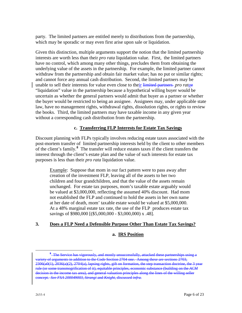party. The limited partners are entitled merely to distributions from the partnership, which may be sporadic or may even first arise upon sale or liquidation.

Given this distinction, multiple arguments support the notion that the limited partnership interests are worth less than their *pro rata* liquidation value. First, the limited partners have no control, which among many other things, precludes them from obtaining the underlying value of the assets in the partnership. For example, the limited partner cannot withdraw from the partnership and obtain fair market value; has no put or similar rights; and cannot force any annual cash distribution. Second, the limited partners may be unable to sell their interests for value even close to their limited partners *pro rata*e "liquidation" value in the partnership because a hypothetical willing buyer would be uncertain as whether the general partners would admit that buyer as a partner or whether the buyer would be restricted to being an assignee. Assignees may, under applicable state law, have no management rights, withdrawal rights, dissolution rights, or rights to review the books. Third, the limited partners may have taxable income in any given year without a corresponding cash distribution from the partnership.

# **c. Transferring FLP Interests for Estate Tax Savings**

Discount planning with FLPs typically involves reducing estate taxes associated with the post-mortem transfer of limited partnership interests held by the client to other members of the client's family.**[8](#page-6-0)** The transfer will reduce estates taxes if the client transfers the interest through the client's estate plan and the value of such interests for estate tax purposes is less than their *pro rata* liquidation value.

Example: Suppose that mom in our fact pattern were to pass away after creation of the investment FLP, leaving all of the assets to her two children and four grandchildren, and that the value of the assets remain unchanged. For estate tax purposes, mom's taxable estate arguably would be valued at \$3,000,000, reflecting the assumed 40% discount. Had mom not established the FLP and continued to hold the assets in her own name at her date of death, mom' taxable estate would be valued at \$5,000,000. At a 48% marginal estate tax rate, the use of the FLP produces estate tax savings of \$980,000 [(\$5,000,000 - \$3,000,000) x .48].

#### **3. Does a FLP Need a Defensible Purpose Other Than Estate Tax Savings?**

#### **a. IRS Position**

<span id="page-6-0"></span><sup>&</sup>lt;sup>8</sup>-The Service <del>and mostly unsucces</del><br>Code Section 2704 variety of arguments in addition to the Code Section 2704 one. Among these are sections 2703, 2306(a0(1), 2036(a)(2), 2704(a), lapsing rights, gift on formation, the step transaction doctrine, the 3 year rule (or some transmogrification of it), equitable principles, economic substance (building on the *ACM* and general valuation principles along the lines of the willing seller concept. *See FSA 200049003, Strangi* and *Knight*, discussed *infra.*  $\overline{a}$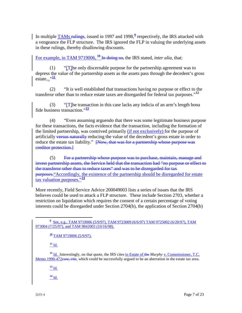In multiple TAMs rulings, issued in 1[9](#page-7-0)97 and 1998,<sup>9</sup> respectively, the IRS attacked with a vengeance the FLP structure. The IRS ignored the FLP in valuing the underlying assets in these rulings, thereby disallowing discounts.

For example, in TAM 9719006, <sup>[10](#page-7-1)</sup> In doing so, the IRS stated, *inter alia*, that:

(1) "[T]he only discernable purpose for the partnership agreement was to depress the value of the partnership assets as the assets pass through the decedent's gross estate..."**[11](#page-7-2)**

(2) "It is well established that transactions having no purpose or effect to the transferor other than to reduce estate taxes are disregarded for federal tax purposes."**[12](#page-7-3)**

(3) "[T]he transaction in this case lacks any indicia of an arm's length bona fide business transaction."**[13](#page-7-4)**

(4) "Even assuming arguendo that there was some legitimate business purpose for these transactions, the facts evidence that the transaction, including the formation of the limited partnership, was contrived primarily (if not exclusively) for the purpose of artificially versus naturally reducing the value of the decedent's gross estate in order to reduce the estate tax liability." <del>[Now, that was for a partnership whose purpose was</del> creditor protection.]

(5) For a partnership whose purpose was to purchase, maintain, manage and invest partnership assets, the Service held that the transaction had "no purpose or effect to the transferor other than to reduce taxes" and was to be disregarded for tax purposes. Accordingly, the existence of the partnership should be disregarded for estate tax valuation purposes."**[14](#page-7-5)**

More recently, Field Service Advice 200049003 lists a series of issues that the IRS believes could be used to attack a FLP structure. These include Section 2703, whether a restriction on liquidation which requires the consent of a certain percentage of voting interests could be disregarded under Section 2704(b), the application of Section 2704(b)

 $\frac{11}{10}$ 

<span id="page-7-5"></span><span id="page-7-4"></span><span id="page-7-3"></span><span id="page-7-2"></span><span id="page-7-1"></span><sup>12</sup> Id. Interestingly, on that quote, the IRS cites to Estate of the *Murphy* v. Commissioner, T.C. Memo 1990-472case, cite, which could be successfully argued to be an aberration in the estate tax area.

**<sup>13</sup>** Id.

**<sup>14</sup>** Id.

<span id="page-7-0"></span>**<sup>9</sup>** See, e.g., TAM 9719006 (5/9/97), TAM 9723009 (6/6/97) TAM 9725002 (6/20/97), TAM 973004 (7/25/97), and TAM 9842003 (10/16/98).  $\overline{a}$ 

**<sup>10</sup>** TAM 9719006 (5/9/97).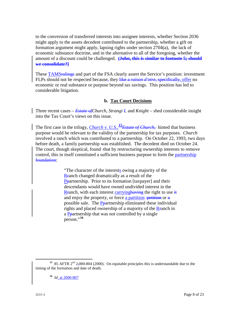to the conversion of transferred interests into assignee interests, whether Section 2036 might apply to the assets decedent contributed to the partnership, whether a gift on formation argument might apply, lapsing rights under section 2704(a), the lack of economic substance doctrine, and in the alternative to all of the foregoing, whether the amount of a discount could be challenged. **(John, this is similar to footnote 5; should we consolidate?]**

These TAMS<del>rulings</del> and part of the FSA clearly assert the Service's position: investment FLPs should not be respected because, they like a *raison d'etre*, specifically, offer no economic or real substance or purpose beyond tax savings. This position has led to considerable litigation.

#### **b. Tax Court Decisions**

Three recent cases – *Estate ofChurch*, *Strangi I*, and *Knight* – shed considerable insight into the Tax Court's views on this issue.

The first case in the trilogy, *Church v. U.S.,* **[15](#page-8-0)***Estate of Church,* hinted that business purpose would be relevant to the validity of the partnership for tax purposes. *Church* involved a ranch which was contributed to a partnership. On October 22, 1993, two days before death, a family partnership was established. The decedent died on October 24. The court, though skeptical, found -that by restructuring ownership interests to remove control, this in itself constituted a sufficient business purpose to form the partnership foundation:

> "The character of the interests owing a majority of the Rranch changed dramatically as a result of the Ppartnership. Prior to its formation [taxpayer] and their descendants would have owned undivided interest in the Rranch, with each interest carrying having the right to use  $\frac{d}{dt}$ and enjoy the property, or force a partition  $-\rho$ etition or  $\alpha$ possible sale. The Ppartnership eliminated these individual rights and placed ownership of a majority of the Rranch in a Ppartnership that was not controlled by a single person."**[16](#page-8-1)**

<span id="page-8-1"></span><span id="page-8-0"></span><sup>&</sup>lt;sup>15</sup> 85 AFTR  $2<sup>nd</sup>$  2,000-804 (2000). On equitable principles this is understandable due to the timing of the formation and date of death.

**<sup>16</sup>** *Id.* at 2000-807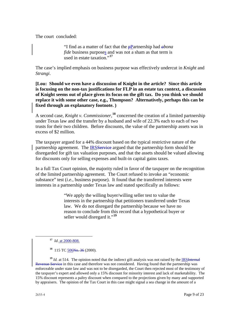The court concluded:

"I find as a matter of fact that the pPartnership had *abona fide* business purposes and was not a sham as that term is used in estate taxation."**[17](#page-9-0)**

The case's implied emphasis on business purpose was effectively undercut in *Knight* and *Strangi*.

**[Lou: Should we even have a discussion of Knight in the article? Since this article is focusing on the non-tax justifications for FLP in an estate tax context, a discussion of Knight seems out of place given its focus on the gift tax. Do you think we should replace it with some other case, e.g., Thompson? Alternatively, perhaps this can be fixed through an explanatory footnote. )**

A second case, *Knight v. Commissioner*, **[18](#page-9-1)** concerned the creation of a limited partnership under Texas law and the transfer by a husband and wife of 22.3% each to each of two trusts for their two children. Before discounts, the value of the partnership assets was in excess of \$2 million.

The taxpayer argued for a 44% discount based on the typical restrictive nature of the partnership agreement. The IRSService argued that the partnership form should be disregarded for gift tax valuation purposes, and that the assets should be valued allowing for discounts only for selling expenses and built-in capital gains taxes.

In a full Tax Court opinion, the majority ruled in favor of the taxpayer on the recognition of the limited partnership agreement. The Court refused to invoke an "economic substance" test *(i.e.*, business purpose). It found that the transferred interests were interests in a partnership under Texas law and stated specifically as follows:

> "We apply the willing buyer/willing seller test to value the interests in the partnership that petitioners transferred under Texas law. We do not disregard the partnership because we have no reason to conclude from this record that a hypothetical buyer or seller would disregard it."<sup>[19](#page-9-2)</sup>

<span id="page-9-2"></span><span id="page-9-1"></span><span id="page-9-0"></span><sup>19</sup> *Id.* at 514. The opinion noted that the indirect gift analysis was not raised by the IRSInternal Revenue Service in this case and therefore was not considered. Having found that the partnership was enforceable under state law and was not to be disregarded, the Court then rejected most of the testimony of the taxpayer's expert and allowed only a 15% discount for minority interest and lack of marketability. The 15% discount represents a paltry discount when compared to the projections given by many and supported by appraisers. The opinion of the Tax Court in this case might signal a sea change in the amount of a

**<sup>17</sup>** *Id*. at 2000-808.

<sup>&</sup>lt;sup>18</sup> 115 TC 506No. 36 (2000).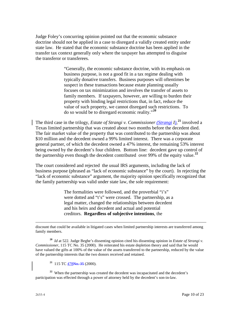Judge Foley's concurring opinion pointed out that the economic substance doctrine should not be applied in a case to disregard a validly created entity under state law. He stated that the economic substance doctrine has been applied in the transfer tax context generally only where the taxpayer has attempted to disguise the transferor or transferees.

> "Generally, the economic substance doctrine, with its emphasis on business purpose, is not a good fit in a tax regime dealing with typically donative transfers. Business purposes will oftentimes be suspect in these transactions because estate planning usually focuses on tax minimization and involves the transfer of assets to family members. If taxpayers, however, are willing to burden their property with binding legal restrictions that, in fact, reduce the value of such property, we cannot disregard such restrictions. To do so would be to disregard economic reality."**[20](#page-10-0)**

The third case in the trilogy, *Estate of Strangi v. Commissioner (Strangi I),* **[21](#page-10-1)** involved a Texas limited partnership that was created about two months before the decedent died. The fair market value of the property that was contributed to the partnership was about \$10 million and the decedent owned a 99% limited interest. There was a corporate general partner, of which the decedent owned a 47% interest, the remaining 53% interest being owned by the decedent's four children. Bottom line: decedent gave up control of the partnership even though the decedent contributed over 99% of the equity value.**[22](#page-10-2)**

The court considered and rejected the usual IRS arguments, including the lack of business purpose (phrased as "lack of economic substance" by the court). In rejecting the "lack of economic substance" argument, the majority opinion specifically recognized that the family partnership was valid under state law, the sole requirement:

> The formalities were followed, and the proverbial "i's" were dotted and "t's" were crossed. The partnership, as a legal matter, changed the relationships between decedent and his heirs and decedent and actual and potential creditors. **Regardless of subjective intentions**, the

discount that could be available in litigated cases when limited partnership interests are transferred among family members.

<span id="page-10-0"></span>**<sup>20</sup>** *Id* at 522*.* Judge Beghe's dissenting opinion cited his dissenting opinion in *Estate of Strangi v. Commissioner*, 115 TC No. 35 (2000). He reiterated his estate depletion theory and said that he would have valued the gifts at 100% of the value of the assets transferred to the partnership, reduced by the value of the partnership interests that the two donors received and retained.

**<sup>21</sup>** 115 TC 478No. 35 (2000).

<span id="page-10-2"></span><span id="page-10-1"></span><sup>22</sup> When the partnership was created the decedent was incapacitated and the decedent's participation was effected through a power of attorney held by the decedent's son-in-law.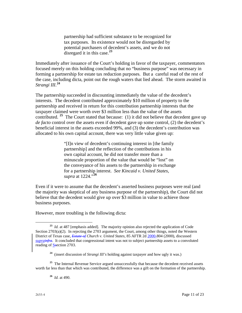partnership had sufficient substance to be recognized for tax purposes. Its existence would not be disregarded by potential purchasers of decedent's assets, and we do not disregard it in this case.**[23](#page-11-0)**

Immediately after issuance of the Court's holding in favor of the taxpayer, commentators focused merely on this holding concluding that no "business purpose" was necessary in forming a partnership for estate tax reduction purposes. But a careful read of the rest of the case, including dicta, point out the rough waters that lied ahead. The storm awaited in *Strangi III*. **[24](#page-11-1)**

The partnership succeeded in discounting immediately the value of the decedent's interests. The decedent contributed approximately \$10 million of property to the partnership and received in return for this contribution partnership interests that the taxpayer claimed were worth over \$3 million less than the value of the assets contributed. **[25](#page-11-2)** The Court stated that because: (1) it did not believe that decedent gave up *de facto* control over the assets even if decedent gave up some control, (2) the decedent's beneficial interest in the assets exceeded 99%, and (3) the decedent's contribution was allocated to his own capital account, there was very little value given up:

> "[I]n view of decedent's continuing interest in [the family partnership] and the reflection of the contributions in his own capital account, he did not transfer more than a minuscule proportion of the value that would be "lost" on the conveyance of his assets to the partnership in exchange for a partnership interest. *See Kincaid v. United States, supra* at 1224."**[26](#page-11-3)**

Even if it were to assume that the decedent's asserted business purposes were real (and the majority was skeptical of any business purpose of the partnership), the Court did not believe that the decedent would give up over \$3 million in value to achieve those business purposes.

However, more troubling is the following dicta:

<span id="page-11-3"></span><span id="page-11-2"></span><span id="page-11-1"></span><sup>25</sup> The Internal Revenue Service argued unsuccessfully that because the decedent received assets worth far less than that which was contributed, the difference was a gift on the formation of the partnership.

**<sup>26</sup>** *Id.* at 490.

<span id="page-11-0"></span>**<sup>23</sup>** *Id.* at 487 [emphasis added]. The majority opinion also rejected the application of Code Section 2703(a)(2). In rejecting the 2703 argument, the Court, among other things, noted the Western District of Texas case, *Estate of Church v. United States*, 85 AFTR 2d 2000-804 (2000), discussed *suprainfra*. It concluded that congressional intent was not to subject partnership assets to a convoluted reading of Ssection 2703.  $\overline{a}$ 

**<sup>24</sup>** (insert discussion of *Strangi III's* holding against taxpayer and how ugly it was.)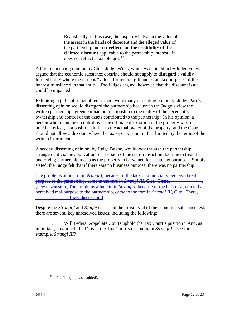Realistically, in this case, the disparity between the value of the assets in the hands of decedent and the alleged value of the partnership interest **reflects on the credibility of the claimed discount** applicable to the partnership interest. It does not reflect a taxable gift.**[27](#page-12-0)**

A brief concurring opinion by Chief Judge Wells, which was joined in by Judge Foley, argued that the economic substance doctrine should not apply to disregard a validly formed entity where the issue is "value" for federal gift and estate tax purposes of the interest transferred in that entity. The Judges argued, however, that the discount issue could be impacted.

Exhibiting a judicial schizophrenia, there were many dissenting opinions. Judge Parr's dissenting opinion would disregard the partnership because in the Judge's view the written partnership agreement had no relationship to the reality of the decedent's ownership and control of the assets contributed to the partnership. In his opinion, a person who maintained control over the ultimate disposition of the property was, in practical effect, in a position similar to the actual owner of the property, and the Court should not allow a discount where the taxpayer was not in fact limited by the terms of the written instruments.

A second dissenting opinion, by Judge Beghe, would look through the partnership arrangement via the application of a version of the step-transaction doctrine to treat the underlying partnership assets as the property to be valued for estate tax purposes. Simply stated, the Judge felt that if there was no business purpose, there was no partnership.

The problems allude to in *Strangi I*, because of the lack of a judicially perceived real purpose to the partnership, came to the fore in *Strangi III*, Cite. There, [new discussion.]The problems allude to in *Strangi I*, because of the lack of a judicially perceived real purpose to the partnership, came to the fore in *Strangi III*, Cite. There, [new discussion.]

Despite the *Strangi I* and *Knight* cases and their dismissal of the economic substance test, there are several key unresolved issues, including the following:

1. Will Federal Appellate Courts uphold the Tax Court's position? And, as important, how much [bed?] is in the Tax Court's reasoning in *Strangi I* – see for example, *Strangi III*?

<span id="page-12-0"></span>**<sup>27</sup>** *Id* at 490 (emphasis added).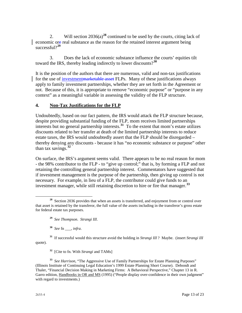2. Will section  $2036(a)^{28}$  $2036(a)^{28}$  $2036(a)^{28}$  continued to be used by the courts, citing lack of economic ore real substance as the reason for the retained interest argument being successful?**[29](#page-13-1)**

3. Does the lack of economic substance influence the courts' equities tilt toward the IRS, thereby leading indirectly to lower discounts?**[30](#page-13-2)**

It is the position of the authors that there are numerous, valid and non-tax justifications for the use of investmentmarketable asset FLPs. Many of these justifications always apply to family investment partnerships, whether they are set forth in the Agreement or not. Because of this, it is appropriate to remove "economic purpose" or "purpose in any context" as a meaningful variable in assessing the validity of the FLP structure.

# **4. Non-Tax Justifications for the FLP**

Undoubtedly, based on our fact pattern, the IRS would attack the FLP structure because, despite providing substantial funding of the FLP, mom receives limited partnerships interests but no general partnership interests.**[31](#page-13-3)** To the extent that mom's estate utilizes discounts related to her transfer at death of the limited partnership interests to reduce estate taxes, the IRS would undoubtedly assert that the FLP should be disregarded – thereby denying any discounts - because it has "no economic substance or purpose" other than tax savings.**[32](#page-13-4)**

On surface, the IRS's argument seems valid. There appears to be no real reason for mom - the 98% contributor to the FLP - to "give up control;" that is, by forming a FLP and not retaining the controlling general partnership interest. Commentators have suggested that if investment management is the purpose of the partnership, then giving up control is not necessary. For example, in lieu of a FLP, the contributor could give funds to an investment manager, while still retaining discretion to hire or fire that manager.**[33](#page-13-5)**

<span id="page-13-0"></span>**<sup>28</sup>** Section 2036 provides that when an assets is transferred, and enjoyment from or control over that asset is retained by the transferor, the full value of the assets including in the transferor's gross estate for federal estate tax purposes.  $\overline{a}$ 

**<sup>29</sup>** *See Thompson*. *Strangi III*.

**<sup>30</sup>** *See* fn \_\_\_, *infra*.

<span id="page-13-3"></span><span id="page-13-2"></span><span id="page-13-1"></span>**<sup>31</sup>** If successful would this structure avoid the holding in *Strangi III* ? Maybe. (insert *Strangi III* quote).

**<sup>32</sup>** [Cite to fn. With *Strangi* and TAMs]

<span id="page-13-5"></span><span id="page-13-4"></span>**<sup>33</sup>** *See Harrison*, "The Aggressive Use of Family Partnerships for Estate Planning Purposes" (Illinois Institute of Continuing Legal Education's 1999 Estate Planning Short Course). Debondt and Thaler, "Financial Decision Making in Marketing Firms: A Behavioral Perspective," Chapter 13 in R. Garro edition, Handbooks in OR and MS (1995) ("People display over-confidence in their own judgment" with regard to investments.)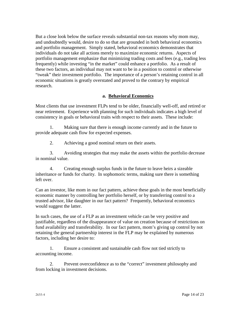But a close look below the surface reveals substantial non-tax reasons why mom may, and undoubtedly would, desire to do so that are grounded in both behavioral economics and portfolio management. Simply stated, behavioral economics demonstrates that individuals do not take all actions merely to maximize economic returns. Aspects of portfolio management emphasize that minimizing trading costs and fees (e.g., trading less frequently) while investing "in the market" could enhance a portfolio. As a result of these two factors, an individual may not want to be in a position to control or otherwise "tweak" their investment portfolio. The importance of a person's retaining control in all economic situations is greatly overstated and proved to the contrary by empirical research.

#### **a. Behavioral Economics**

Most clients that use investment FLPs tend to be older, financially well-off, and retired or near retirement. Experience with planning for such individuals indicates a high level of consistency in goals or behavioral traits with respect to their assets. These include:

1. Making sure that there is enough income currently and in the future to provide adequate cash flow for expected expenses.

2. Achieving a good nominal return on their assets.

3. Avoiding strategies that may make the assets within the portfolio decrease in nominal value.

4. Creating enough surplus funds in the future to leave heirs a sizeable inheritance or funds for charity. In sophomoric terms, making sure there is something left over.

Can an investor, like mom in our fact pattern, achieve these goals in the most beneficially economic manner by controlling her portfolio herself, or by transferring control to a trusted advisor, like daughter in our fact pattern? Frequently, behavioral economics would suggest the latter.

In such cases, the use of a FLP as an investment vehicle can be very positive and justifiable, regardless of the disappearance of value on creation because of restrictions on fund availability and transferability. In our fact pattern, mom's giving up control by not retaining the general partnership interest in the FLP may be explained by numerous factors, including her desire to:

1. Ensure a consistent and sustainable cash flow not tied strictly to accounting income.

2. Prevent overconfidence as to the "correct" investment philosophy and from locking in investment decisions.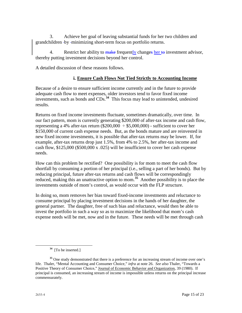3. Achieve her goal of leaving substantial funds for her two children and grandchildren by minimizing short-term focus on portfolio returns.

4. Restrict her ability to make frequently changes her to investment advisor, thereby putting investment decisions beyond her control.

A detailed discussion of these reasons follows.

# **i. Ensure Cash Flows Not Tied Strictly to Accounting Income**

Because of a desire to ensure sufficient income currently and in the future to provide adequate cash flow to meet expenses, older investors tend to favor fixed income investments, such as bonds and CDs.**[34](#page-15-0)** This focus may lead to unintended, undesired results.

Returns on fixed income investments fluctuate, sometimes dramatically, over time. In our fact pattern, mom is currently generating \$200,000 of after-tax income and cash flow, representing a 4% after-tax return  $(\$200,000 \div \$5,000,000)$  - sufficient to cover her \$150,000 of current cash expense needs. But, as the bonds mature and are reinvested in new fixed income investments, it is possible that after-tax returns may be lower. If, for example, after-tax returns drop just 1.5%, from 4% to 2.5%, her after-tax income and cash flow, \$125,000 (\$500,000 x .025) will be insufficient to cover her cash expense needs.

How can this problem be rectified? One possibility is for mom to meet the cash flow shortfall by consuming a portion of her principal (i.e., selling a part of her bonds). But by reducing principal, future after-tax returns and cash flows will be correspondingly reduced, making this an unattractive option to mom.**[35](#page-15-1)** Another possibility is to place the investments outside of mom's control, as would occur with the FLP structure.

In doing so, mom removes her bias toward fixed-income investments and reluctance to consume principal by placing investment decisions in the hands of her daughter, the general partner. The daughter, free of such bias and reluctance, would then be able to invest the portfolio in such a way so as to maximize the likelihood that mom's cash expense needs will be met, now and in the future. These needs will be met through cash

**<sup>34</sup>** [To be inserted.]

<span id="page-15-1"></span><span id="page-15-0"></span><sup>&</sup>lt;sup>35</sup> One study demonstrated that there is a preference for an increasing stream of income over one's life. Thaler, "Mental Accounting and Consumer Choice," *infra* at note 26. *See also* Thaler, "Towards a Positive Theory of Consumer Choice," Journal of Economic Behavior and Organization, 39 (1980). If principal is consumed, an increasing stream of income is impossible unless returns on the principal increase commensurately.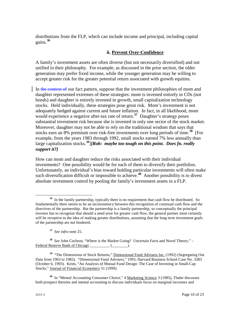distributions from the FLP, which can include income and principal, including capital gains.**[36](#page-16-0)**

#### **ii. Prevent Over-Confidence**

A family's investment assets are often diverse (but not necessarily diversified) and not unified in their philosophy. For example, as discussed in the prior section, the older generation may prefer fixed income, while the younger generation may be willing to accept greater risk for the greater potential return associated with growth equities.

In the context of our fact pattern, suppose that the investment philosophies of mom and daughter represented extremes of these strategies: mom is invested entirely in CDs (not bonds) and daughter is entirely invested in growth, small capitalization technology stocks. Held individually, these strategies pose great risk. Mom's investment is not adequately hedged against current and future inflation. In fact, in all likelihood, mom would experience a negative after-tax rate of return.<sup>[37](#page-16-1)</sup> Daughter's strategy poses substantial investment risk because she is invested in only one sector of the stock market. Moreover, daughter may not be able to rely on the traditional wisdom that says that stocks earn an 8% premium over risk-free investments over long periods of time.**[38](#page-16-2)** [For example, from the years 1983 through 1992, small stocks earned 7% less annually than large capitalization stocks.**[39](#page-16-3)**]*[Rob: maybe too tough on this point. Does fn. really support it?]* 

How can mom and daughter reduce the risks associated with their individual investments? One possibility would be for each of them to diversify their portfolios. Unfortunately, an individual's bias toward holding particular investments will often make such diversification difficult or impossible to achieve.**[40](#page-16-4)** Another possibility is to divest absolute investment control by pooling the family's investment assets in a FLP.

**<sup>37</sup>** *See infra* note 25.

<span id="page-16-2"></span><span id="page-16-1"></span>**<sup>38</sup>** *See* John Cochran, "Where is the Market Going? Uncertain Facts and Novel Theory," – Federal Reserve Bank of Chicago \_\_\_\_\_\_\_\_\_\_\_\_ (\_\_\_\_\_\_\_\_\_).

<span id="page-16-3"></span><sup>39</sup> "The Dimensions of Stock Returns," Dimensional Fund Advisers Inc. (1992) (Segregating Out Data from 1963 to 1983). "Dimensional Fund Advisers," 1993, Harvard Business School Case No. 3383 (October 6, 1993). Keim, "An Analysis of Mutual Fund Design: The Case of Investing in Small-Cap Stocks," Journal of Financial Economics 51 (1999).

<span id="page-16-4"></span>**<sup>40</sup>** In "Mental Accounting Consumer Choice," 4 Marketing Science 3 (1985), Thaler discusses both prospect theories and mental accounting to discuss individuals focus on marginal increases and

<span id="page-16-0"></span>**<sup>36</sup>** In the family partnership, typically there is no requirement that cash flow be distributed. So fundamentally there seems to be an inconsistency between this recognition of continual cash flow and the directives of the partnership. But the partnership is a family partnership, so conceptually the principal investor has to recognize that should a need arise for greater cash flow, the general partner most certainly will be receptive to the idea of making greater distributions, assuming that the long term investment goals of the partnership are not hindered.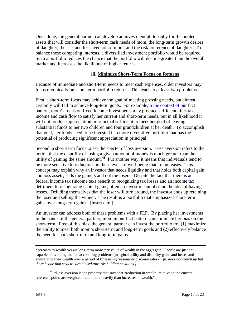Once done, the general partner can develop an investment philosophy for the pooled assets that will consider the short-term cash needs of mom, the long-term growth desires of daughter, the risk and loss aversion of mom, and the risk preference of daughter. To balance these competing interests, a diversified investment portfolio would be required. Such a portfolio reduces the chance that the portfolio will decline greater than the overall market and increases the likelihood of higher returns.

#### **iii. Minimize Short-Term Focus on Returns**

Because of immediate and short-term needs to meet cash expenses, older investors may focus myopically on short-term portfolio returns. This leads to at least two problems.

First, a short-term focus may achieve the goal of meeting pressing needs, but almost certainly will fail to achieve long-term goals. For example, in the context of our fact pattern, mom's focus on fixed income investments may produce sufficient after-tax income and cash flow to satisfy her current and short-term needs, but in all likelihood it will not produce appreciation in principal sufficient to meet her goal of leaving substantial funds to her two children and four grandchildren at her death. To accomplish that goal, her funds need to be invested in a more diversified portfolio that has the potential of producing significant appreciation in principal.

Second, a short-term focus raises the specter of loss aversion. Loss aversion refers to the notion that the disutility of losing a given amount of money is much greater than the utility of gaining the same amount.<sup>[41](#page-17-0)</sup> Put another way, it means that individuals tend to be more sensitive to reductions in their levels of well-being than to increases. This concept may explain why an investor that needs liquidity and that holds both capital gain and loss assets, sells the gainers and not the losers. Despite the fact that there is an federal income tax (income tax) benefit to recognizing tax losses and an income tax detriment to recognizing capital gains, often an investor cannot stand the idea of having losses. Deluding themselves that the loser will turn around, the investor ends up retaining the loser and selling the winner. The result is a portfolio that emphasizes short-term gains over long-term gains. [Insert cite.]

An investor can address both of these problems with a FLP. By placing her investments in the hands of the general partner, mom in our fact pattern can eliminate her bias on the short-term. Free of this bias, the general partner can invest the portfolio to: (1) maximize the ability to meet both mom's short-term and long-term goals and (2) effectively balance the need for both short-term and long-term gains.

decreases to wealth versus long-term monetary value of wealth in the aggregate. People are just not capable of avoiding mental accounting problems (marginal utility and disutility gains and losses and annuitizing their wealth over a period of time using reasonable discount rates). [*fn. does not match up but there is one that says we are biased towards holding positions.]*

<span id="page-17-0"></span>**<sup>41</sup>** "Loss aversion is the property that says that "reduction in wealth, relative to the current reference point, are weighted much more heavily than increases in wealth."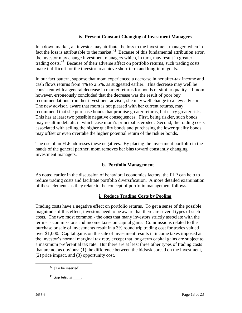# **iv. Prevent Constant Changing of Investment Managers**

In a down market, an investor may attribute the loss to the investment manager, when in fact the loss is attributable to the market.**[42](#page-18-0)** Because of this fundamental attribution error, the investor may change investment managers which, in turn, may result in greater trading costs.**[43](#page-18-1)** Because of their adverse affect on portfolio returns, such trading costs make it difficult for the investor to achieve short-term and long-term goals.

In our fact pattern, suppose that mom experienced a decrease in her after-tax income and cash flows returns from 4% to 2.5%, as suggested earlier. This decrease may well be consistent with a general decrease in market returns for bonds of similar quality. If mom, however, erroneously concluded that the decrease was the result of poor buy recommendations from her investment advisor, she may well change to a new advisor. The new advisor, aware that mom is not pleased with her current returns, may recommend that she purchase bonds that promise greater returns, but carry greater risk. This has at least two possible negative consequences. First, being riskier, such bonds may result in default, in which case mom's principal is eroded. Second, the trading costs associated with selling the higher quality bonds and purchasing the lower quality bonds may offset or even overtake the higher potential return of the riskier bonds.

The use of an FLP addresses these negatives. By placing the investment portfolio in the hands of the general partner, mom removes her bias toward constantly changing investment managers.

# **b. Portfolio Management**

As noted earlier in the discussion of behavioral economics factors, the FLP can help to reduce trading costs and facilitate portfolio diversification. A more detailed examination of these elements as they relate to the concept of portfolio management follows.

# **i. Reduce Trading Costs by Pooling**

Trading costs have a negative effect on portfolio returns. To get a sense of the possible magnitude of this effect, investors need to be aware that there are several types of such costs. The two most common - the ones that many investors strictly associate with the term - is commissions and income taxes on capital gains. Commissions related to the purchase or sale of investments result in a 3% round trip trading cost for trades valued over \$1,000. Capital gains on the sale of investment results in income taxes imposed at the investor's normal marginal tax rate, except that long-term capital gains are subject to a maximum preferential tax rate. But there are at least three other types of trading costs that are not as obvious: (1) the difference between the bid/ask spread on the investment, (2) price impact, and (3) opportunity cost.

- <span id="page-18-0"></span>**<sup>42</sup>** [To be inserted]
- <span id="page-18-1"></span>**<sup>43</sup>** *See infra* at \_\_\_\_.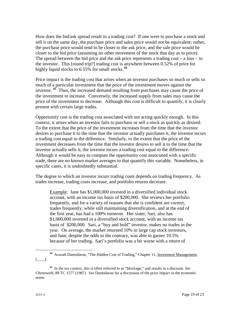How does the bid/ask spread result in a trading cost? If one were to purchase a stock and sell it on the same day, the purchase price and sales price would not be equivalent; rather, the purchase price would tend to be closer to the ask price, and the sale price would be closer to the bid price (assuming no other movement of the stock that day as to price). The spread between the bid price and the ask price represents a trading  $cost - a loss - to$ the investor. This [round trip?] trading cost is anywhere between 0.52% of price for highly liquid stocks to 6.55% for small stocks.**[44](#page-19-0)**

Price impact is the trading cost that arises when an investor purchases so much or sells so much of a particular investment that the price of the investment moves against the investor. **[45](#page-19-1)** Thus, the increased demand resulting from purchases may cause the price of the investment to increase. Conversely, the increased supply from sales may cause the price of the investment to decrease. Although this cost is difficult to quantify, it is clearly present with certain large trades.

Opportunity cost is the trading cost associated with not acting quickly enough. In this context, it arises when an investor fails to purchase or sell a stock as quickly as desired. To the extent that the price of the investment increases from the time that the investor desires to purchase it to the time that the investor actually purchases it, the investor incurs a trading cost equal to the difference. Similarly, to the extent that the price of the investment decreases from the time that the investor desires to sell it to the time that the investor actually sells it, the investor incurs a trading cost equal to the difference. Although it would be easy to compute the opportunity cost associated with a specific trade, there are no known market averages to that quantify this variable. Nonetheless, in specific cases, it is undoubtedly substantial.

The degree to which an investor incurs trading costs depends on trading frequency. As trades increase, trading costs increase, and portfolio returns decrease.

Example: Jane has \$1,000,000 invested in a diversified individual stock account, with an income tax basis of \$200,000. She reviews her portfolio frequently, and for a variety of reasons that she is confident are correct, trades frequently, while still maintaining diversification, and at the end of the first year, has had a 100% turnover. Her sister, Sari, also has \$1,000,000 invested in a diversified stock account, with an income tax basis of \$200,000. Sari, a "buy and hold" investor, makes no trades in the year. On average, the market returned 10% to large cap stock investors, and Jane, despite the odds to the contrary, was able to garner 10.5% because of her trading. Sari's portfolio was a bit worse with a return of

<span id="page-19-0"></span>**<sup>44</sup>** Aswath Damodaran, "The Hidden Cost of Trading," Chapter 11, Investment Management.  $(\_\_).$  $\overline{a}$ 

<span id="page-19-1"></span>**<sup>45</sup>** In the tax context, this is often referred to as "blockage," and results in a discount. *See Chenoweth*, 88 TC 1577 (1987). *See* Damodaran for a discussion of the price impact in the economic sense.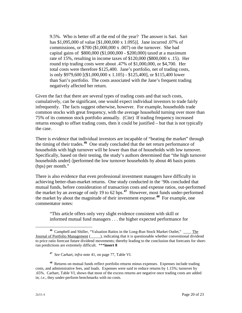9.5%. Who is better off at the end of the year? The answer is Sari. Sari has \$1,095,000 of value [\$1,000,000 x 1.095)]. Jane incurred .07% of commissions, or  $$700 ($1,000,000 x .007)$  on the turnover. She had capital gains of \$800,000 (\$1,000,000 - \$200,000) taxed at a maximum rate of 15%, resulting in income taxes of \$120,000 (\$800,000 x .15). Her round trip trading costs were about .47% of \$1,000,000, or \$4,700. Her total costs were therefore \$125,400. Jane's portfolio, net of trading costs, is only \$979,600 [(\$1,000,000 x 1.105) - \$125,400], or \$115,400 lower than Sari's portfolio. The costs associated with the Jane's frequent trading negatively affected her return.

Given the fact that there are several types of trading costs and that such costs, cumulatively, can be significant, one would expect individual investors to trade fairly infrequently. The facts suggest otherwise, however. For example, households trade common stocks with great frequency, with the average household turning over more than 75% of its common stock portfolio annually. (Cite) If trading frequency increased returns enough to offset trading costs, then it could be justified – but that is not typically the case.

There is evidence that individual investors are incapable of "beating the market" through the timing of their trades.**[46](#page-20-0)** One study concluded that the net return performance of households with high turnover will be lower than that of households with low turnover. Specifically, based on their testing, the study's authors determined that "the high turnover households under[-]performed the low turnover households by about 46 basis points (bps) per month."

There is also evidence that even professional investment managers have difficulty in achieving better-than-market returns. One study conducted in the '90s concluded that mutual funds, before consideration of transaction costs and expense ratios, out-performed the market by an average of only 19 to 62 bps.**[47](#page-20-1)** However, most funds under-performed the market by about the magnitude of their investment expense.**[48](#page-20-2)** For example, one commentator notes:

"This article offers only very slight evidence consistent with skill or informed mutual fund managers . . . the higher expected performance for

<span id="page-20-0"></span>**<sup>46</sup>** Campbell and Shiller, "Valuation Ratios in the Long-Run Stock Market Outlet," \_\_\_\_ The Journal of Portfolio Management (\_\_\_\_\_), indicating that it is questionable whether conventional dividend to price ratio forecast future dividend movements; thereby leading to the conclusion that forecasts for shortrun predictions are extremely difficult. \*\*\***insert 8**  $\overline{a}$ 

**<sup>47</sup>** *See* Carhart, *infra* note 41, on page 77, Table VI.

<span id="page-20-2"></span><span id="page-20-1"></span>**<sup>48</sup>** Returns on mutual funds reflect portfolio returns minus expenses. Expenses include trading costs, and administrative fees, and loads. Expenses were said to reduce returns by 1.15%; turnover by .65%. Carhart, Table VI, shows that most of the excess returns are negative once trading costs are added in; *i.e.*, they under-perform benchmarks with no costs.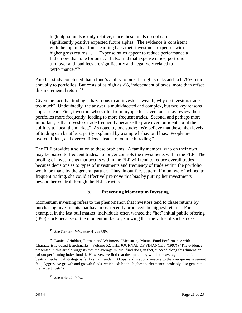high-alpha funds is only relative, since these funds do not earn significantly positive expected future alphas. The evidence is consistent with the top mutual funds earning back their investment expenses with higher gross returns . . . . Expense ratios appear to reduce performance a little more than one for one . . . I also find that expense ratios, portfolio turn over and load fees are significantly and negatively related to performance."**[49](#page-21-0)**

Another study concluded that a fund's ability to pick the right stocks adds a 0.79% return annually to portfolios. But costs of as high as 2%, independent of taxes, more than offset this incremental return.**[50](#page-21-1)**

Given the fact that trading is hazardous to an investor's wealth, why do investors trade too much? Undoubtedly, the answer is multi-faceted and complex, but two key reasons appear clear. First, investors who suffer from myopic loss aversion**[51](#page-21-2)** may review their portfolios more frequently, leading to more frequent trades. Second, and perhaps more important, is that investors trade frequently because they are overconfident about their abilities to "beat the market." As noted by one study: "We believe that these high levels of trading can be at least partly explained by a simple behavioral bias: People are overconfident, and overconfidence leads to too much trading."

The FLP provides a solution to these problems. A family member, who on their own, may be biased to frequent trades, no longer controls the investments within the FLP. The pooling of investments that occurs within the FLP will tend to reduce overall trades because decisions as to types of investments and frequency of trade within the portfolio would be made by the general partner. Thus, in our fact pattern, if mom were inclined to frequent trading, she could effectively remove this bias by putting her investments beyond her control through the FLP structure.

#### **b. Preventing Momentum Investing**

Momentum investing refers to the phenomenon that investors tend to chase returns by purchasing investments that have most recently produced the highest returns. For example, in the last bull market, individuals often wanted the "hot" initial public offering (IPO) stock because of the momentum factor, knowing that the value of such stocks

**<sup>49</sup>** *See* Carhart, *infra* note 41, at 369.

<span id="page-21-1"></span><span id="page-21-0"></span>**<sup>50</sup>** Daniel, Grinblatt, Tittman and Weirmers, "Measuring Mutual Fund Performance with Characteristic-based Benchmarks," Volume 52, THE JOURNAL OF FINANCE 3 (1997) ("The evidence presented in this article suggests that the average mutual fund does, in fact, succeed along this dimension [of out performing index funds]. However, we find that the amount by which the average mutual fund beats a mechanical strategy is fairly small (under 100 bps) and is approximately to the average management fee. Aggressive growth and growth funds, which exhibit the highest performance, probably also generate the largest costs").

<span id="page-21-2"></span>**<sup>51</sup>** *See* note 27, *infra*.